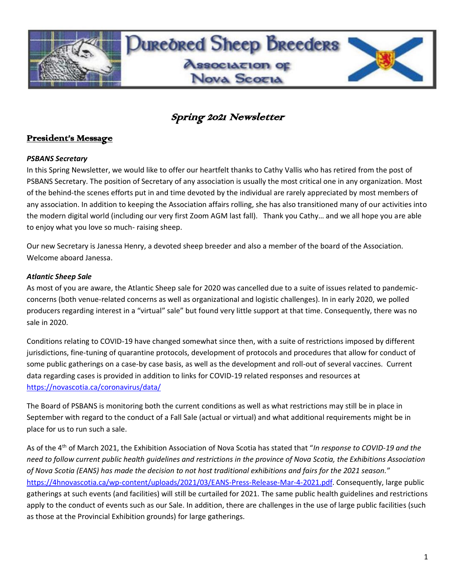

# **Duneoned Sheep Bneedens Association of** Nova Scotia

### Spring 2021 Newsletter

### President's Message

#### *PSBANS Secretary*

In this Spring Newsletter, we would like to offer our heartfelt thanks to Cathy Vallis who has retired from the post of PSBANS Secretary. The position of Secretary of any association is usually the most critical one in any organization. Most of the behind-the scenes efforts put in and time devoted by the individual are rarely appreciated by most members of any association. In addition to keeping the Association affairs rolling, she has also transitioned many of our activities into the modern digital world (including our very first Zoom AGM last fall). Thank you Cathy… and we all hope you are able to enjoy what you love so much- raising sheep.

Our new Secretary is Janessa Henry, a devoted sheep breeder and also a member of the board of the Association. Welcome aboard Janessa.

### *Atlantic Sheep Sale*

As most of you are aware, the Atlantic Sheep sale for 2020 was cancelled due to a suite of issues related to pandemicconcerns (both venue-related concerns as well as organizational and logistic challenges). In in early 2020, we polled producers regarding interest in a "virtual" sale" but found very little support at that time. Consequently, there was no sale in 2020.

Conditions relating to COVID-19 have changed somewhat since then, with a suite of restrictions imposed by different jurisdictions, fine-tuning of quarantine protocols, development of protocols and procedures that allow for conduct of some public gatherings on a case-by case basis, as well as the development and roll-out of several vaccines. Current data regarding cases is provided in addition to links for COVID-19 related responses and resources at <https://novascotia.ca/coronavirus/data/>

The Board of PSBANS is monitoring both the current conditions as well as what restrictions may still be in place in September with regard to the conduct of a Fall Sale (actual or virtual) and what additional requirements might be in place for us to run such a sale.

As of the 4th of March 2021, the Exhibition Association of Nova Scotia has stated that "*In response to COVID-19 and the need to follow current public health guidelines and restrictions in the province of Nova Scotia, the Exhibitions Association of Nova Scotia (EANS) has made the decision to not host traditional exhibitions and fairs for the 2021 season.*" [https://4hnovascotia.ca/wp-content/uploads/2021/03/EANS-Press-Release-Mar-4-2021.pdf.](https://4hnovascotia.ca/wp-content/uploads/2021/03/EANS-Press-Release-Mar-4-2021.pdf) Consequently, large public gatherings at such events (and facilities) will still be curtailed for 2021. The same public health guidelines and restrictions apply to the conduct of events such as our Sale. In addition, there are challenges in the use of large public facilities (such as those at the Provincial Exhibition grounds) for large gatherings.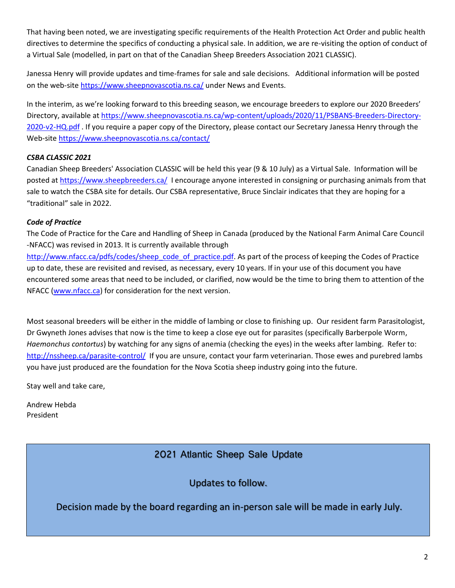That having been noted, we are investigating specific requirements of the Health Protection Act Order and public health directives to determine the specifics of conducting a physical sale. In addition, we are re-visiting the option of conduct of a Virtual Sale (modelled, in part on that of the Canadian Sheep Breeders Association 2021 CLASSIC).

Janessa Henry will provide updates and time-frames for sale and sale decisions. Additional information will be posted on the web-site<https://www.sheepnovascotia.ns.ca/> under News and Events.

In the interim, as we're looking forward to this breeding season, we encourage breeders to explore our 2020 Breeders' Directory, available at [https://www.sheepnovascotia.ns.ca/wp-content/uploads/2020/11/PSBANS-Breeders-Directory-](https://www.sheepnovascotia.ns.ca/wp-content/uploads/2020/11/PSBANS-Breeders-Directory-2020-v2-HQ.pdf)[2020-v2-HQ.pdf](https://www.sheepnovascotia.ns.ca/wp-content/uploads/2020/11/PSBANS-Breeders-Directory-2020-v2-HQ.pdf) . If you require a paper copy of the Directory, please contact our Secretary Janessa Henry through the Web-site<https://www.sheepnovascotia.ns.ca/contact/>

### *CSBA CLASSIC 2021*

Canadian Sheep Breeders' Association CLASSIC will be held this year (9 & 10 July) as a Virtual Sale. Information will be posted a[t https://www.sheepbreeders.ca/](https://www.sheepbreeders.ca/) I encourage anyone interested in consigning or purchasing animals from that sale to watch the CSBA site for details. Our CSBA representative, Bruce Sinclair indicates that they are hoping for a "traditional" sale in 2022.

### *Code of Practice*

The Code of Practice for the Care and Handling of Sheep in Canada (produced by the National Farm Animal Care Council -NFACC) was revised in 2013. It is currently available through

[http://www.nfacc.ca/pdfs/codes/sheep\\_code\\_of\\_practice.pdf.](http://www.nfacc.ca/pdfs/codes/sheep_code_of_practice.pdf) As part of the process of keeping the Codes of Practice up to date, these are revisited and revised, as necessary, every 10 years. If in your use of this document you have encountered some areas that need to be included, or clarified, now would be the time to bring them to attention of the NFACC [\(www.nfacc.ca\)](http://www.nfacc.ca/) for consideration for the next version.

Most seasonal breeders will be either in the middle of lambing or close to finishing up. Our resident farm Parasitologist, Dr Gwyneth Jones advises that now is the time to keep a close eye out for parasites (specifically Barberpole Worm, *Haemonchus contortus*) by watching for any signs of anemia (checking the eyes) in the weeks after lambing. Refer to: <http://nssheep.ca/parasite-control/>If you are unsure, contact your farm veterinarian. Those ewes and purebred lambs you have just produced are the foundation for the Nova Scotia sheep industry going into the future.

Stay well and take care,

Andrew Hebda President

### 2021 Atlantic Sheep Sale Update

Updates to follow.

Decision made by the board regarding an in-person sale will be made in early July.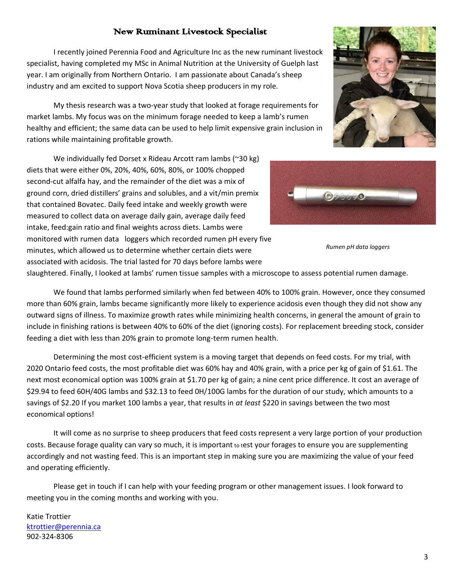### New Ruminant Livestock Specialist

I recently joined Perennia Food and Agriculture Inc as the new ruminant livestock specialist, having completed my MSc in Animal Nutrition at the University of Guelph last year. I am originally from Northern Ontario. I am passionate about Canada's sheep industry and am excited to support Nova Scotia sheep producers in my role.

My thesis research was a two-year study that looked at forage requirements for market lambs. My focus was on the minimum forage needed to keep a lamb's rumen healthy and efficient; the same data can be used to help limit expensive grain inclusion in rations while maintaining profitable growth.

We individually fed Dorset x Rideau Arcott ram lambs (~30 kg) diets that were either 0%, 20%, 40%, 60%, 80%, or 100% chopped second-cut alfalfa hay, and the remainder of the diet was a mix of ground corn, dried distillers' grains and solubles, and a vit/min premix that contained Bovatec. Daily feed intake and weekly growth were measured to collect data on average daily gain, average daily feed intake, feed:gain ratio and final weights across diets. Lambs were monitored with rumen data loggers which recorded rumen pH every five minutes, which allowed us to determine whether certain diets were associated with acidosis. The trial lasted for 70 days before lambs were

slaughtered. Finally, I looked at lambs' rumen tissue samples with a microscope to assess potential rumen damage.

We found that lambs performed similarly when fed between 40% to 100% grain. However, once they consumed more than 60% grain, lambs became significantly more likely to experience acidosis even though they did not show any outward signs of illness. To maximize growth rates while minimizing health concerns, in general the amount of grain to include in finishing rations is between 40% to 60% of the diet (ignoring costs). For replacement breeding stock, consider feeding a diet with less than 20% grain to promote long-term rumen health.

Determining the most cost-efficient system is a moving target that depends on feed costs. For my trial, with 2020 Ontario feed costs, the most profitable diet was 60% hay and 40% grain, with a price per kg of gain of \$1.61. The next most economical option was 100% grain at \$1.70 per kg of gain; a nine cent price difference. It cost an average of \$29.94 to feed 60H/40G lambs and \$32.13 to feed 0H/100G lambs for the duration of our study, which amounts to a savings of \$2.20 If you market 100 lambs a year, that results in *at least* \$220 in savings between the two most economical options!

It will come as no surprise to sheep producers that feed costs represent a very large portion of your production costs. Because forage quality can vary so much, it is important to test your forages to ensure you are supplementing accordingly and not wasting feed. This is an important step in making sure you are maximizing the value of your feed and operating efficiently.

Please get in touch if I can help with your feeding program or other management issues. I look forward to meeting you in the coming months and working with you.

### Katie Trottier [ktrottier@perennia.ca](mailto:ktrottier@perennia.ca) 902-324-8306





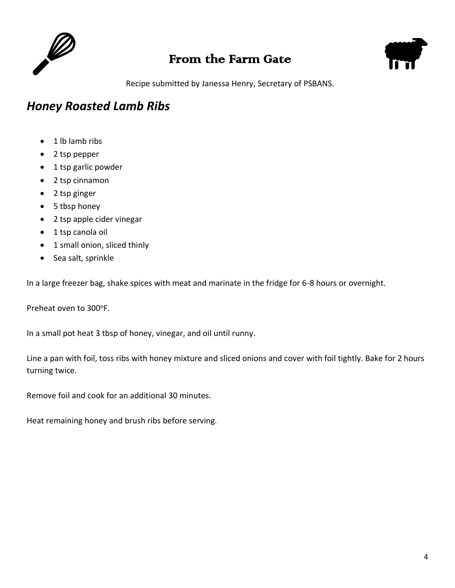

## From the Farm Gate



Recipe submitted by Janessa Henry, Secretary of PSBANS.

## *Honey Roasted Lamb Ribs*

- 1 lb lamb ribs
- 2 tsp pepper
- 1 tsp garlic powder
- 2 tsp cinnamon
- 2 tsp ginger
- 5 tbsp honey
- 2 tsp apple cider vinegar
- 1 tsp canola oil
- 1 small onion, sliced thinly
- Sea salt, sprinkle

In a large freezer bag, shake spices with meat and marinate in the fridge for 6-8 hours or overnight.

Preheat oven to 300°F.

In a small pot heat 3 tbsp of honey, vinegar, and oil until runny.

Line a pan with foil, toss ribs with honey mixture and sliced onions and cover with foil tightly. Bake for 2 hours turning twice.

Remove foil and cook for an additional 30 minutes.

Heat remaining honey and brush ribs before serving.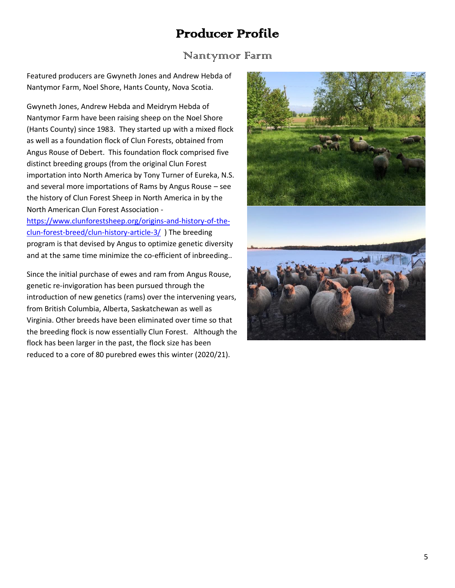# Producer Profile

### Nantynnor Farm

Featured producers are Gwyneth Jones and Andrew Hebda of Nantymor Farm, Noel Shore, Hants County, Nova Scotia.

Gwyneth Jones, Andrew Hebda and Meidrym Hebda of Nantymor Farm have been raising sheep on the Noel Shore (Hants County) since 1983. They started up with a mixed flock as well as a foundation flock of Clun Forests, obtained from Angus Rouse of Debert. This foundation flock comprised five distinct breeding groups (from the original Clun Forest importation into North America by Tony Turner of Eureka, N.S. and several more importations of Rams by Angus Rouse – see the history of Clun Forest Sheep in North America in by the North American Clun Forest Association -

[https://www.clunforestsheep.org/origins-and-history-of-the](https://www.clunforestsheep.org/origins-and-history-of-the-clun-forest-breed/clun-history-article-3/)[clun-forest-breed/clun-history-article-3/](https://www.clunforestsheep.org/origins-and-history-of-the-clun-forest-breed/clun-history-article-3/) ) The breeding program is that devised by Angus to optimize genetic diversity and at the same time minimize the co-efficient of inbreeding..

Since the initial purchase of ewes and ram from Angus Rouse, genetic re-invigoration has been pursued through the introduction of new genetics (rams) over the intervening years, from British Columbia, Alberta, Saskatchewan as well as Virginia. Other breeds have been eliminated over time so that the breeding flock is now essentially Clun Forest. Although the flock has been larger in the past, the flock size has been reduced to a core of 80 purebred ewes this winter (2020/21).

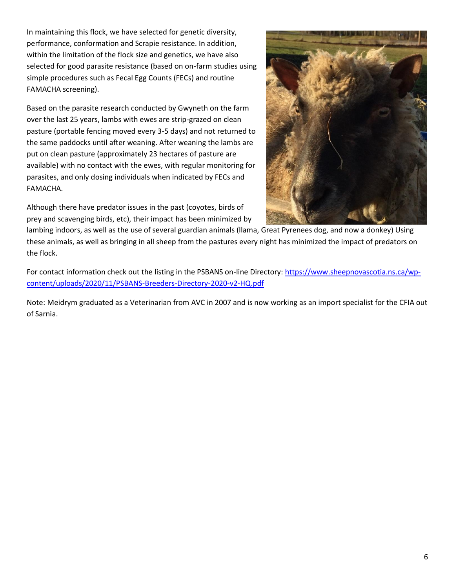In maintaining this flock, we have selected for genetic diversity, performance, conformation and Scrapie resistance. In addition, within the limitation of the flock size and genetics, we have also selected for good parasite resistance (based on on-farm studies using simple procedures such as Fecal Egg Counts (FECs) and routine FAMACHA screening).

Based on the parasite research conducted by Gwyneth on the farm over the last 25 years, lambs with ewes are strip-grazed on clean pasture (portable fencing moved every 3-5 days) and not returned to the same paddocks until after weaning. After weaning the lambs are put on clean pasture (approximately 23 hectares of pasture are available) with no contact with the ewes, with regular monitoring for parasites, and only dosing individuals when indicated by FECs and FAMACHA.

Although there have predator issues in the past (coyotes, birds of prey and scavenging birds, etc), their impact has been minimized by



lambing indoors, as well as the use of several guardian animals (llama, Great Pyrenees dog, and now a donkey) Using these animals, as well as bringing in all sheep from the pastures every night has minimized the impact of predators on the flock.

For contact information check out the listing in the PSBANS on-line Directory[: https://www.sheepnovascotia.ns.ca/wp](https://www.sheepnovascotia.ns.ca/wp-content/uploads/2020/11/PSBANS-Breeders-Directory-2020-v2-HQ.pdf)[content/uploads/2020/11/PSBANS-Breeders-Directory-2020-v2-HQ.pdf](https://www.sheepnovascotia.ns.ca/wp-content/uploads/2020/11/PSBANS-Breeders-Directory-2020-v2-HQ.pdf)

Note: Meidrym graduated as a Veterinarian from AVC in 2007 and is now working as an import specialist for the CFIA out of Sarnia.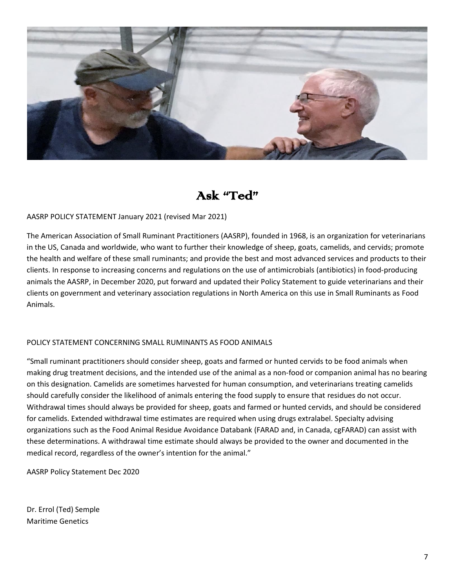

## Ask "Ted"

#### AASRP POLICY STATEMENT January 2021 (revised Mar 2021)

The American Association of Small Ruminant Practitioners (AASRP), founded in 1968, is an organization for veterinarians in the US, Canada and worldwide, who want to further their knowledge of sheep, goats, camelids, and cervids; promote the health and welfare of these small ruminants; and provide the best and most advanced services and products to their clients. In response to increasing concerns and regulations on the use of antimicrobials (antibiotics) in food-producing animals the AASRP, in December 2020, put forward and updated their Policy Statement to guide veterinarians and their clients on government and veterinary association regulations in North America on this use in Small Ruminants as Food Animals.

#### POLICY STATEMENT CONCERNING SMALL RUMINANTS AS FOOD ANIMALS

"Small ruminant practitioners should consider sheep, goats and farmed or hunted cervids to be food animals when making drug treatment decisions, and the intended use of the animal as a non-food or companion animal has no bearing on this designation. Camelids are sometimes harvested for human consumption, and veterinarians treating camelids should carefully consider the likelihood of animals entering the food supply to ensure that residues do not occur. Withdrawal times should always be provided for sheep, goats and farmed or hunted cervids, and should be considered for camelids. Extended withdrawal time estimates are required when using drugs extralabel. Specialty advising organizations such as the Food Animal Residue Avoidance Databank (FARAD and, in Canada, cgFARAD) can assist with these determinations. A withdrawal time estimate should always be provided to the owner and documented in the medical record, regardless of the owner's intention for the animal."

AASRP Policy Statement Dec 2020

Dr. Errol (Ted) Semple Maritime Genetics